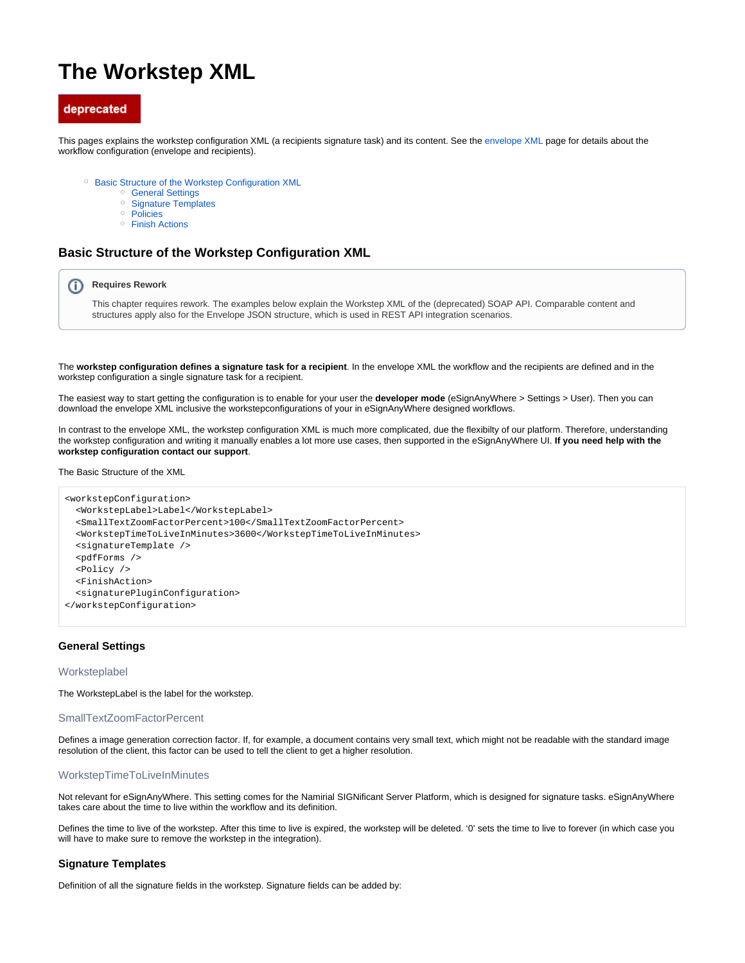# **The Workstep XML**

# deprecated

This pages explains the workstep configuration XML (a recipients signature task) and its content. See the [envelope XML](https://confluence.namirial.com/display/eSign/The+Envelope+XML) page for details about the workflow configuration (envelope and recipients).

- <sup>o</sup> [Basic Structure of the Workstep Configuration XML](#page-0-0)
	- <sup>o</sup> [General Settings](#page-0-1)
	- <sup>o</sup> [Signature Templates](#page-0-2)
	- <sup>o</sup> [Policies](#page-3-0)
	- <sup>o</sup> [Finish Actions](#page-4-0)

# <span id="page-0-0"></span>**Basic Structure of the Workstep Configuration XML**

#### ന **Requires Rework**

This chapter requires rework. The examples below explain the Workstep XML of the (deprecated) SOAP API. Comparable content and structures apply also for the Envelope JSON structure, which is used in REST API integration scenarios.

The **workstep configuration defines a signature task for a recipient**. In the envelope XML the workflow and the recipients are defined and in the workstep configuration a single signature task for a recipient.

The easiest way to start getting the configuration is to enable for your user the **developer mode** (eSignAnyWhere > Settings > User). Then you can download the envelope XML inclusive the workstepconfigurations of your in eSignAnyWhere designed workflows.

In contrast to the envelope XML, the workstep configuration XML is much more complicated, due the flexibilty of our platform. Therefore, understanding the workstep configuration and writing it manually enables a lot more use cases, then supported in the eSignAnyWhere UI. **If you need help with the workstep configuration contact our support**.

The Basic Structure of the XML

```
<workstepConfiguration>
  <WorkstepLabel>Label</WorkstepLabel>
   <SmallTextZoomFactorPercent>100</SmallTextZoomFactorPercent>
  <WorkstepTimeToLiveInMinutes>3600</WorkstepTimeToLiveInMinutes>
  <signatureTemplate />
   <pdfForms />
  <Policy />
  <FinishAction>
  <signaturePluginConfiguration>
</workstepConfiguration>
```
# <span id="page-0-1"></span>**General Settings**

#### Worksteplabel

The WorkstepLabel is the label for the workstep.

#### SmallTextZoomFactorPercent

Defines a image generation correction factor. If, for example, a document contains very small text, which might not be readable with the standard image resolution of the client, this factor can be used to tell the client to get a higher resolution.

# WorkstepTimeToLiveInMinutes

Not relevant for eSignAnyWhere. This setting comes for the Namirial SIGNificant Server Platform, which is designed for signature tasks. eSignAnyWhere takes care about the time to live within the workflow and its definition.

Defines the time to live of the workstep. After this time to live is expired, the workstep will be deleted. '0' sets the time to live to forever (in which case you will have to make sure to remove the workstep in the integration).

# <span id="page-0-2"></span>**Signature Templates**

Definition of all the signature fields in the workstep. Signature fields can be added by: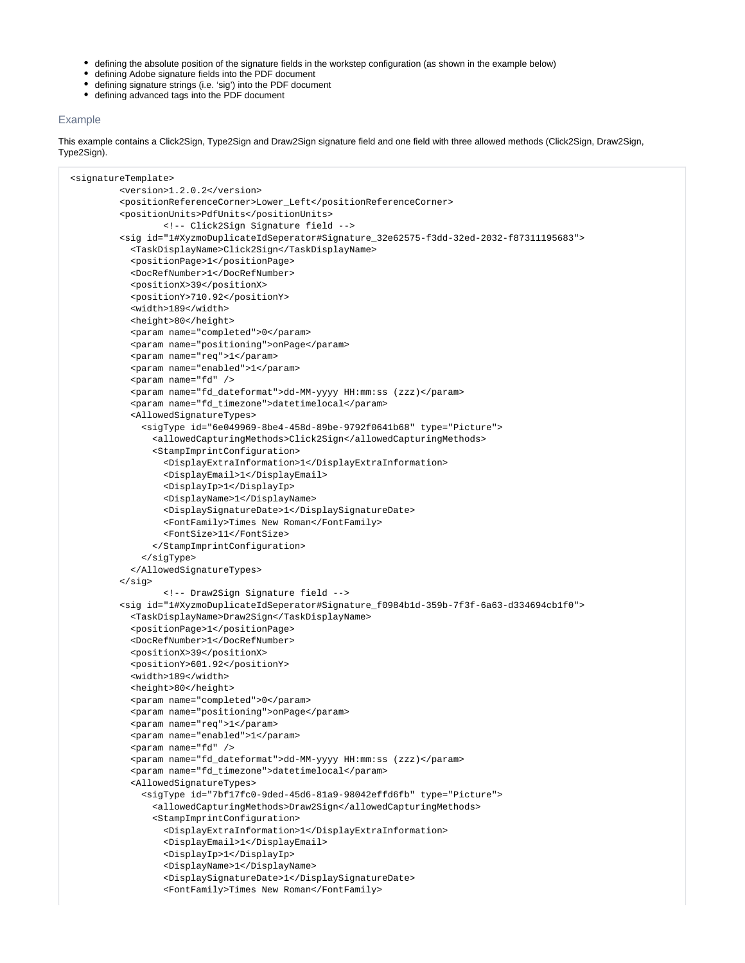- defining the absolute position of the signature fields in the workstep configuration (as shown in the example below)
- defining Adobe signature fields into the PDF document
- defining signature strings (i.e. 'sig') into the PDF document
- defining advanced tags into the PDF document

# Example

This example contains a Click2Sign, Type2Sign and Draw2Sign signature field and one field with three allowed methods (Click2Sign, Draw2Sign, Type2Sign).

```
 <signatureTemplate>
          <version>1.2.0.2</version>
          <positionReferenceCorner>Lower_Left</positionReferenceCorner>
          <positionUnits>PdfUnits</positionUnits>
                  <!-- Click2Sign Signature field -->
          <sig id="1#XyzmoDuplicateIdSeperator#Signature_32e62575-f3dd-32ed-2032-f87311195683">
            <TaskDisplayName>Click2Sign</TaskDisplayName>
            <positionPage>1</positionPage>
            <DocRefNumber>1</DocRefNumber>
            <positionX>39</positionX>
            <positionY>710.92</positionY>
            <width>189</width>
            <height>80</height>
            <param name="completed">0</param>
            <param name="positioning">onPage</param>
            <param name="req">1</param>
            <param name="enabled">1</param>
            <param name="fd" />
            <param name="fd_dateformat">dd-MM-yyyy HH:mm:ss (zzz)</param>
            <param name="fd_timezone">datetimelocal</param>
            <AllowedSignatureTypes>
              <sigType id="6e049969-8be4-458d-89be-9792f0641b68" type="Picture">
                <allowedCapturingMethods>Click2Sign</allowedCapturingMethods>
                <StampImprintConfiguration>
                  <DisplayExtraInformation>1</DisplayExtraInformation>
                  <DisplayEmail>1</DisplayEmail>
                  <DisplayIp>1</DisplayIp>
                  <DisplayName>1</DisplayName>
                  <DisplaySignatureDate>1</DisplaySignatureDate>
                  <FontFamily>Times New Roman</FontFamily>
                  <FontSize>11</FontSize>
                </StampImprintConfiguration>
              </sigType>
            </AllowedSignatureTypes>
          </sig>
                  <!-- Draw2Sign Signature field -->
          <sig id="1#XyzmoDuplicateIdSeperator#Signature_f0984b1d-359b-7f3f-6a63-d334694cb1f0">
            <TaskDisplayName>Draw2Sign</TaskDisplayName>
            <positionPage>1</positionPage>
            <DocRefNumber>1</DocRefNumber>
            <positionX>39</positionX>
            <positionY>601.92</positionY>
            <width>189</width>
            <height>80</height>
            <param name="completed">0</param>
            <param name="positioning">onPage</param>
            <param name="req">1</param>
            <param name="enabled">1</param>
            <param name="fd" />
            <param name="fd_dateformat">dd-MM-yyyy HH:mm:ss (zzz)</param>
            <param name="fd_timezone">datetimelocal</param>
            <AllowedSignatureTypes>
              <sigType id="7bf17fc0-9ded-45d6-81a9-98042effd6fb" type="Picture">
                <allowedCapturingMethods>Draw2Sign</allowedCapturingMethods>
                <StampImprintConfiguration>
                  <DisplayExtraInformation>1</DisplayExtraInformation>
                  <DisplayEmail>1</DisplayEmail>
                  <DisplayIp>1</DisplayIp>
                  <DisplayName>1</DisplayName>
                  <DisplaySignatureDate>1</DisplaySignatureDate>
                  <FontFamily>Times New Roman</FontFamily>
```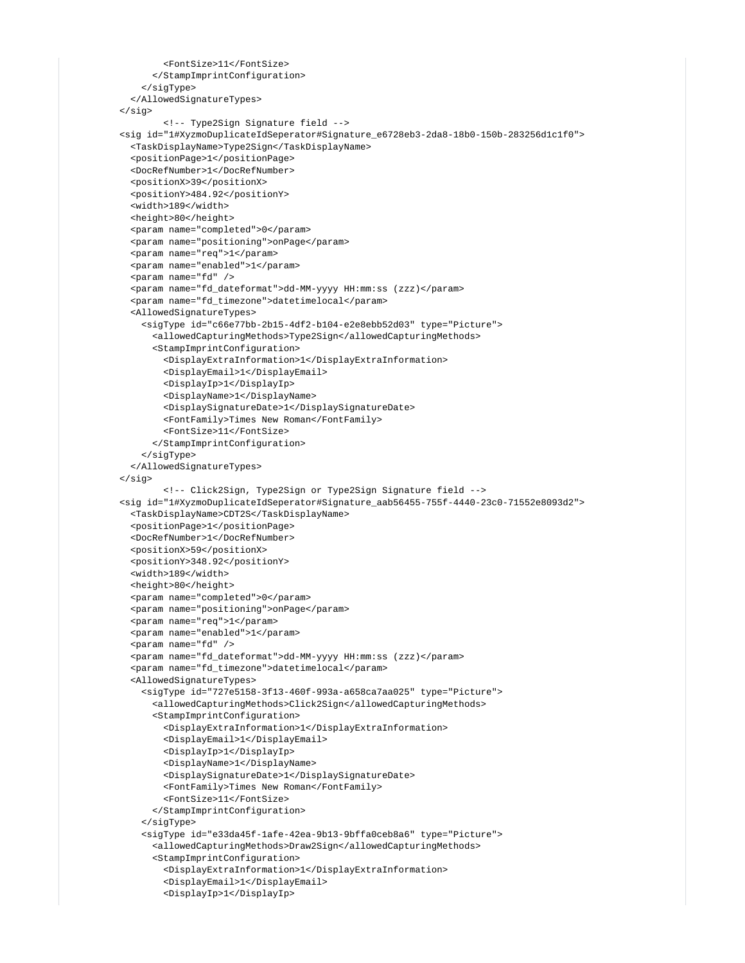```
 <FontSize>11</FontSize>
       </StampImprintConfiguration>
     </sigType>
   </AllowedSignatureTypes>
 </sig>
         <!-- Type2Sign Signature field -->
 <sig id="1#XyzmoDuplicateIdSeperator#Signature_e6728eb3-2da8-18b0-150b-283256d1c1f0">
   <TaskDisplayName>Type2Sign</TaskDisplayName>
   <positionPage>1</positionPage>
   <DocRefNumber>1</DocRefNumber>
  <positionX>39</positionX>
   <positionY>484.92</positionY>
   <width>189</width>
   <height>80</height>
   <param name="completed">0</param>
   <param name="positioning">onPage</param>
   <param name="req">1</param>
   <param name="enabled">1</param>
   <param name="fd" />
   <param name="fd_dateformat">dd-MM-yyyy HH:mm:ss (zzz)</param>
   <param name="fd_timezone">datetimelocal</param>
   <AllowedSignatureTypes>
     <sigType id="c66e77bb-2b15-4df2-b104-e2e8ebb52d03" type="Picture">
       <allowedCapturingMethods>Type2Sign</allowedCapturingMethods>
       <StampImprintConfiguration>
         <DisplayExtraInformation>1</DisplayExtraInformation>
         <DisplayEmail>1</DisplayEmail>
         <DisplayIp>1</DisplayIp>
         <DisplayName>1</DisplayName>
         <DisplaySignatureDate>1</DisplaySignatureDate>
         <FontFamily>Times New Roman</FontFamily>
         <FontSize>11</FontSize>
       </StampImprintConfiguration>
     </sigType>
   </AllowedSignatureTypes>
 </sig>
         <!-- Click2Sign, Type2Sign or Type2Sign Signature field -->
 <sig id="1#XyzmoDuplicateIdSeperator#Signature_aab56455-755f-4440-23c0-71552e8093d2">
   <TaskDisplayName>CDT2S</TaskDisplayName>
   <positionPage>1</positionPage>
   <DocRefNumber>1</DocRefNumber>
   <positionX>59</positionX>
   <positionY>348.92</positionY>
   <width>189</width>
   <height>80</height>
   <param name="completed">0</param>
   <param name="positioning">onPage</param>
   <param name="req">1</param>
   <param name="enabled">1</param>
   <param name="fd" />
   <param name="fd_dateformat">dd-MM-yyyy HH:mm:ss (zzz)</param>
   <param name="fd_timezone">datetimelocal</param>
   <AllowedSignatureTypes>
     <sigType id="727e5158-3f13-460f-993a-a658ca7aa025" type="Picture">
       <allowedCapturingMethods>Click2Sign</allowedCapturingMethods>
       <StampImprintConfiguration>
         <DisplayExtraInformation>1</DisplayExtraInformation>
         <DisplayEmail>1</DisplayEmail>
         <DisplayIp>1</DisplayIp>
         <DisplayName>1</DisplayName>
         <DisplaySignatureDate>1</DisplaySignatureDate>
         <FontFamily>Times New Roman</FontFamily>
         <FontSize>11</FontSize>
       </StampImprintConfiguration>
     </sigType>
     <sigType id="e33da45f-1afe-42ea-9b13-9bffa0ceb8a6" type="Picture">
       <allowedCapturingMethods>Draw2Sign</allowedCapturingMethods>
       <StampImprintConfiguration>
         <DisplayExtraInformation>1</DisplayExtraInformation>
         <DisplayEmail>1</DisplayEmail>
         <DisplayIp>1</DisplayIp>
```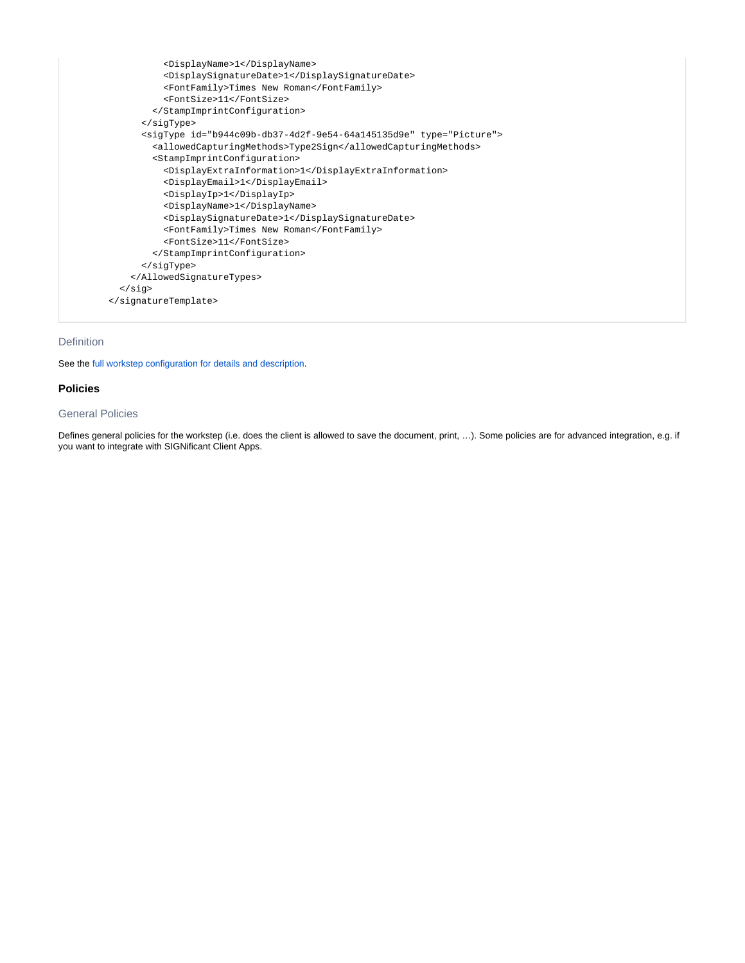

# Definition

See the [full workstep configuration for details and description](https://confluence.namirial.com/download/attachments/70059302/workstepconfig.zip?version=1&modificationDate=1624885362910&api=v2).

## <span id="page-3-0"></span>**Policies**

# General Policies

Defines general policies for the workstep (i.e. does the client is allowed to save the document, print, …). Some policies are for advanced integration, e.g. if you want to integrate with SIGNificant Client Apps.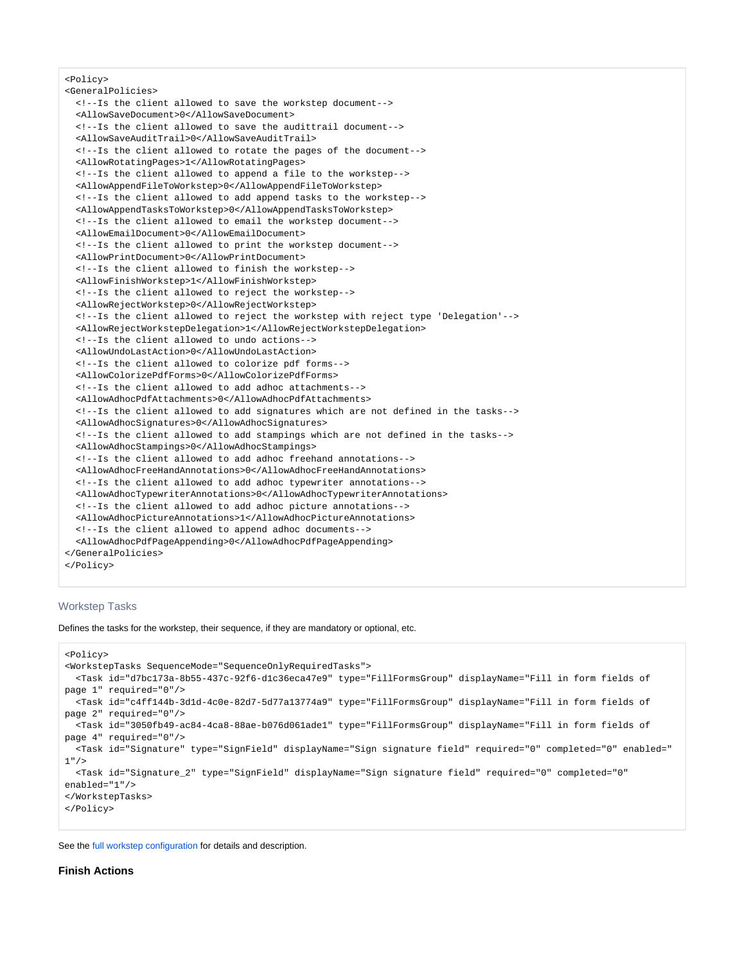#### <Policy>

<GeneralPolicies> <!--Is the client allowed to save the workstep document--> <AllowSaveDocument>0</AllowSaveDocument> <!--Is the client allowed to save the audittrail document--> <AllowSaveAuditTrail>0</AllowSaveAuditTrail> <!--Is the client allowed to rotate the pages of the document--> <AllowRotatingPages>1</AllowRotatingPages> <!--Is the client allowed to append a file to the workstep--> <AllowAppendFileToWorkstep>0</AllowAppendFileToWorkstep> <!--Is the client allowed to add append tasks to the workstep--> <AllowAppendTasksToWorkstep>0</AllowAppendTasksToWorkstep> <!--Is the client allowed to email the workstep document--> <AllowEmailDocument>0</AllowEmailDocument> <!--Is the client allowed to print the workstep document--> <AllowPrintDocument>0</AllowPrintDocument> <!--Is the client allowed to finish the workstep--> <AllowFinishWorkstep>1</AllowFinishWorkstep> <!--Is the client allowed to reject the workstep--> <AllowRejectWorkstep>0</AllowRejectWorkstep> <!--Is the client allowed to reject the workstep with reject type 'Delegation'--> <AllowRejectWorkstepDelegation>1</AllowRejectWorkstepDelegation> <!--Is the client allowed to undo actions--> <AllowUndoLastAction>0</AllowUndoLastAction> <!--Is the client allowed to colorize pdf forms--> <AllowColorizePdfForms>0</AllowColorizePdfForms> <!--Is the client allowed to add adhoc attachments--> <AllowAdhocPdfAttachments>0</AllowAdhocPdfAttachments> <!--Is the client allowed to add signatures which are not defined in the tasks--> <AllowAdhocSignatures>0</AllowAdhocSignatures> <!--Is the client allowed to add stampings which are not defined in the tasks--> <AllowAdhocStampings>0</AllowAdhocStampings> <!--Is the client allowed to add adhoc freehand annotations--> <AllowAdhocFreeHandAnnotations>0</AllowAdhocFreeHandAnnotations> <!--Is the client allowed to add adhoc typewriter annotations--> <AllowAdhocTypewriterAnnotations>0</AllowAdhocTypewriterAnnotations> <!--Is the client allowed to add adhoc picture annotations--> <AllowAdhocPictureAnnotations>1</AllowAdhocPictureAnnotations> <!--Is the client allowed to append adhoc documents--> <AllowAdhocPdfPageAppending>0</AllowAdhocPdfPageAppending> </GeneralPolicies> </Policy>

## Workstep Tasks

Defines the tasks for the workstep, their sequence, if they are mandatory or optional, etc.

```
<Policy>
<WorkstepTasks SequenceMode="SequenceOnlyRequiredTasks">
  <Task id="d7bc173a-8b55-437c-92f6-d1c36eca47e9" type="FillFormsGroup" displayName="Fill in form fields of 
page 1" required="0"/>
  <Task id="c4ff144b-3d1d-4c0e-82d7-5d77a13774a9" type="FillFormsGroup" displayName="Fill in form fields of 
page 2" required="0"/>
  <Task id="3050fb49-ac84-4ca8-88ae-b076d061ade1" type="FillFormsGroup" displayName="Fill in form fields of 
page 4" required="0"/>
  <Task id="Signature" type="SignField" displayName="Sign signature field" required="0" completed="0" enabled="
1" />
  <Task id="Signature_2" type="SignField" displayName="Sign signature field" required="0" completed="0" 
enabled="1"/>
</WorkstepTasks>
</Policy>
```
<span id="page-4-0"></span>See the [full workstep configuration](https://confluence.namirial.com/download/attachments/70059302/workstepconfig%281%29.zip?version=1&modificationDate=1624885472746&api=v2) for details and description.